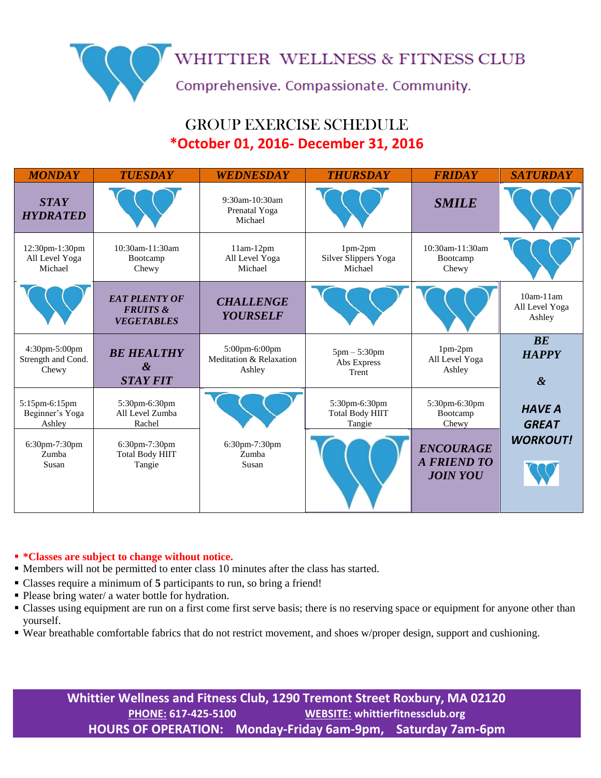WHITTIER WELLNESS & FITNESS CLUB

Comprehensive. Compassionate. Community.

## GROUP EXERCISE SCHEDULE **\*October 01, 2016- December 31, 2016**

| <b>MONDAY</b>                                | <b>TUESDAY</b>                                                   | WEDNESDAY                                          | <b>THURSDAY</b>                                   | <b>FRIDAY</b>                                             | <b>SATURDAY</b>                             |
|----------------------------------------------|------------------------------------------------------------------|----------------------------------------------------|---------------------------------------------------|-----------------------------------------------------------|---------------------------------------------|
| <b>STAY</b><br><b>HYDRATED</b>               |                                                                  | $9:30$ am-10:30am<br>Prenatal Yoga<br>Michael      |                                                   | <b>SMILE</b>                                              |                                             |
| 12:30pm-1:30pm<br>All Level Yoga<br>Michael  | 10:30am-11:30am<br>Bootcamp<br>Chewy                             | $11am-12pm$<br>All Level Yoga<br>Michael           | $1pm-2pm$<br>Silver Slippers Yoga<br>Michael      | 10:30am-11:30am<br>Bootcamp<br>Chewy                      |                                             |
|                                              | <b>EAT PLENTY OF</b><br><b>FRUITS &amp;</b><br><b>VEGETABLES</b> | <b>CHALLENGE</b><br><b>YOURSELF</b>                |                                                   |                                                           | $10am-11am$<br>All Level Yoga<br>Ashley     |
| 4:30pm-5:00pm<br>Strength and Cond.<br>Chewy | <b>BE HEALTHY</b><br>$\boldsymbol{\alpha}$<br><b>STAY FIT</b>    | 5:00pm-6:00pm<br>Meditation & Relaxation<br>Ashley | $5pm - 5:30pm$<br>Abs Express<br>Trent            | 1pm-2pm<br>All Level Yoga<br>Ashley                       | BE<br><b>HAPPY</b><br>$\boldsymbol{\alpha}$ |
| 5:15pm-6:15pm<br>Beginner's Yoga<br>Ashley   | 5:30pm-6:30pm<br>All Level Zumba<br>Rachel                       |                                                    | 5:30pm-6:30pm<br><b>Total Body HIIT</b><br>Tangie | 5:30pm-6:30pm<br>Bootcamp<br>Chewy                        | <b>HAVE A</b><br><b>GREAT</b>               |
| 6:30pm-7:30pm<br>Zumba<br>Susan              | 6:30pm-7:30pm<br><b>Total Body HIIT</b><br>Tangie                | 6:30pm-7:30pm<br>Zumba<br>Susan                    |                                                   | <b>ENCOURAGE</b><br><b>A FRIEND TO</b><br><b>JOIN YOU</b> | <b>WORKOUT!</b>                             |

## **\*Classes are subject to change without notice.**

- Members will not be permitted to enter class 10 minutes after the class has started.
- Classes require a minimum of **5** participants to run, so bring a friend!
- Please bring water/ a water bottle for hydration.
- Classes using equipment are run on a first come first serve basis; there is no reserving space or equipment for anyone other than yourself.
- Wear breathable comfortable fabrics that do not restrict movement, and shoes w/proper design, support and cushioning.

**Whittier Wellness and Fitness Club, 1290 Tremont Street Roxbury, MA 02120 PHONE: 617-425-5100 WEBSITE: whittierfitnessclub.org HOURS OF OPERATION: Monday-Friday 6am-9pm, Saturday 7am-6pm**